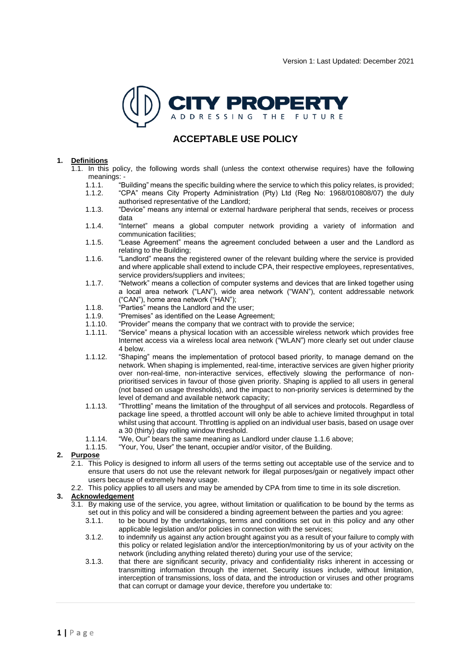

## **ACCEPTABLE USE POLICY**

#### **1. Definitions**

- $1.1$ . In this policy, the following words shall (unless the context otherwise requires) have the following meanings:
	- 1.1.1. "Building" means the specific building where the service to which this policy relates, is provided;
	- 1.1.2. "CPA" means City Property Administration (Pty) Ltd (Reg No: 1968/010808/07) the duly authorised representative of the Landlord;
	- 1.1.3. "Device" means any internal or external hardware peripheral that sends, receives or process data
	- 1.1.4. "Internet" means a global computer network providing a variety of information and communication facilities;
	- 1.1.5. "Lease Agreement" means the agreement concluded between a user and the Landlord as relating to the Building;
	- 1.1.6. "Landlord" means the registered owner of the relevant building where the service is provided and where applicable shall extend to include CPA, their respective employees, representatives, service providers/suppliers and invitees;
	- 1.1.7. "Network" means a collection of computer systems and devices that are linked together using a local area network ("LAN"), wide area network ("WAN"), content addressable network ("CAN"), home area network ("HAN");
	- 1.1.8. "Parties" means the Landlord and the user;<br>1.1.9. "Premises" as identified on the Lease Agree
	- 1.1.9. "Premises" as identified on the Lease Agreement;<br>1.1.10. "Provider" means the company that we contract w
	- 1.1.10. "Provider" means the company that we contract with to provide the service;
	- 1.1.11. "Service" means a physical location with an accessible wireless network which provides free Internet access via a wireless local area network ("WLAN") more clearly set out under clause 4 below.
	- 1.1.12. "Shaping" means the implementation of protocol based priority, to manage demand on the network. When shaping is implemented, real-time, interactive services are given higher priority over non-real-time, non-interactive services, effectively slowing the performance of nonprioritised services in favour of those given priority. Shaping is applied to all users in general (not based on usage thresholds), and the impact to non-priority services is determined by the level of demand and available network capacity;
	- 1.1.13. "Throttling" means the limitation of the throughput of all services and protocols. Regardless of package line speed, a throttled account will only be able to achieve limited throughput in total whilst using that account. Throttling is applied on an individual user basis, based on usage over a 30 (thirty) day rolling window threshold.
	- 1.1.14. "We, Our" bears the same meaning as Landlord under clause 1.1.6 above;<br>1.1.15. "Your, You, User" the tenant, occupier and/or visitor, of the Building.
		- "Your, You, User" the tenant, occupier and/or visitor, of the Building.

#### **2. Purpose**

- 2.1. This Policy is designed to inform all users of the terms setting out acceptable use of the service and to ensure that users do not use the relevant network for illegal purposes/gain or negatively impact other users because of extremely heavy usage.
- 2.2. This policy applies to all users and may be amended by CPA from time to time in its sole discretion.

#### **3. Acknowledgement**

- 3.1. By making use of the service, you agree, without limitation or qualification to be bound by the terms as set out in this policy and will be considered a binding agreement between the parties and you agree:
	- 3.1.1. to be bound by the undertakings, terms and conditions set out in this policy and any other applicable legislation and/or policies in connection with the services;
	- 3.1.2. to indemnify us against any action brought against you as a result of your failure to comply with this policy or related legislation and/or the interception/monitoring by us of your activity on the network (including anything related thereto) during your use of the service;
	- 3.1.3. that there are significant security, privacy and confidentiality risks inherent in accessing or transmitting information through the internet. Security issues include, without limitation, interception of transmissions, loss of data, and the introduction or viruses and other programs that can corrupt or damage your device, therefore you undertake to: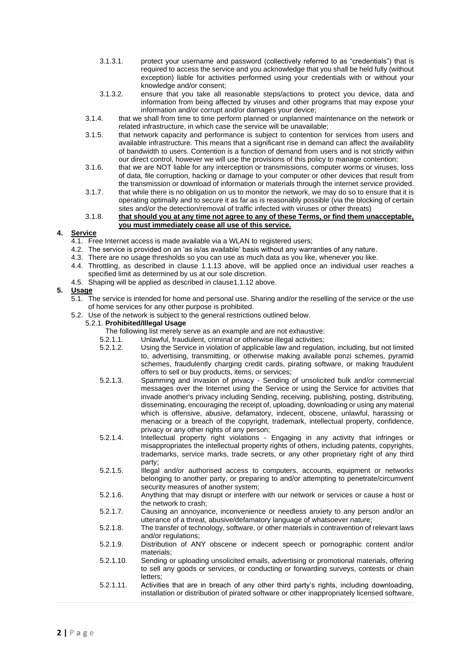- 3.1.3.1. protect your username and password (collectively referred to as "credentials") that is required to access the service and you acknowledge that you shall be held fully (without exception) liable for activities performed using your credentials with or without your knowledge and/or consent;
- 3.1.3.2. ensure that you take all reasonable steps/actions to protect you device, data and information from being affected by viruses and other programs that may expose your information and/or corrupt and/or damages your device;
- 3.1.4. that we shall from time to time perform planned or unplanned maintenance on the network or related infrastructure, in which case the service will be unavailable;
- 3.1.5. that network capacity and performance is subject to contention for services from users and available infrastructure. This means that a significant rise in demand can affect the availability of bandwidth to users. Contention is a function of demand from users and is not strictly within our direct control, however we will use the provisions of this policy to manage contention;
- 3.1.6. that we are NOT liable for any interception or transmissions, computer worms or viruses, loss of data, file corruption, hacking or damage to your computer or other devices that result from the transmission or download of information or materials through the internet service provided.
- 3.1.7. that while there is no obligation on us to monitor the network, we may do so to ensure that it is operating optimally and to secure it as far as is reasonably possible (via the blocking of certain sites and/or the detection/removal of traffic infected with viruses or other threats)

#### 3.1.8. **that should you at any time not agree to any of these Terms, or find them unacceptable, you must immediately cease all use of this service.**

## **4. Service**

- 4.1. Free Internet access is made available via a WLAN to registered users;
- 4.2. The service is provided on an 'as is/as available' basis without any warranties of any nature.
- 4.3. There are no usage thresholds so you can use as much data as you like, whenever you like.
- 4.4. Throttling, as described in clause 1.1.13 above, will be applied once an individual user reaches a specified limit as determined by us at our sole discretion.
- 4.5. Shaping will be applied as described in clause1.1.12 above.

## **5. Usage**

- 5.1. The service is intended for home and personal use. Sharing and/or the reselling of the service or the use of home services for any other purpose is prohibited.
- 5.2. Use of the network is subject to the general restrictions outlined below.

## 5.2.1. **Prohibited/Illegal Usage**

- The following list merely serve as an example and are not exhaustive:
	-
- 5.2.1.1. Unlawful, fraudulent, criminal or otherwise illegal activities;<br>5.2.1.2. Using the Service in violation of applicable law and requisting Using the Service in violation of applicable law and regulation, including, but not limited to, advertising, transmitting, or otherwise making available ponzi schemes, pyramid schemes, fraudulently charging credit cards, pirating software, or making fraudulent offers to sell or buy products, items, or services;
- 5.2.1.3. Spamming and invasion of privacy Sending of unsolicited bulk and/or commercial messages over the Internet using the Service or using the Service for activities that invade another's privacy including Sending, receiving, publishing, posting, distributing, disseminating, encouraging the receipt of, uploading, downloading or using any material which is offensive, abusive, defamatory, indecent, obscene, unlawful, harassing or menacing or a breach of the copyright, trademark, intellectual property, confidence, privacy or any other rights of any person;
- 5.2.1.4. Intellectual property right violations Engaging in any activity that infringes or misappropriates the intellectual property rights of others, including patents, copyrights, trademarks, service marks, trade secrets, or any other proprietary right of any third party;
- 5.2.1.5. Illegal and/or authorised access to computers, accounts, equipment or networks belonging to another party, or preparing to and/or attempting to penetrate/circumvent security measures of another system;
- 5.2.1.6. Anything that may disrupt or interfere with our network or services or cause a host or the network to crash;
- 5.2.1.7. Causing an annoyance, inconvenience or needless anxiety to any person and/or an utterance of a threat, abusive/defamatory language of whatsoever nature;
- 5.2.1.8. The transfer of technology, software, or other materials in contravention of relevant laws and/or regulations;
- 5.2.1.9. Distribution of ANY obscene or indecent speech or pornographic content and/or materials;
- 5.2.1.10. Sending or uploading unsolicited emails, advertising or promotional materials, offering to sell any goods or services, or conducting or forwarding surveys, contests or chain letters;
- 5.2.1.11. Activities that are in breach of any other third party's rights, including downloading, installation or distribution of pirated software or other inappropriately licensed software,